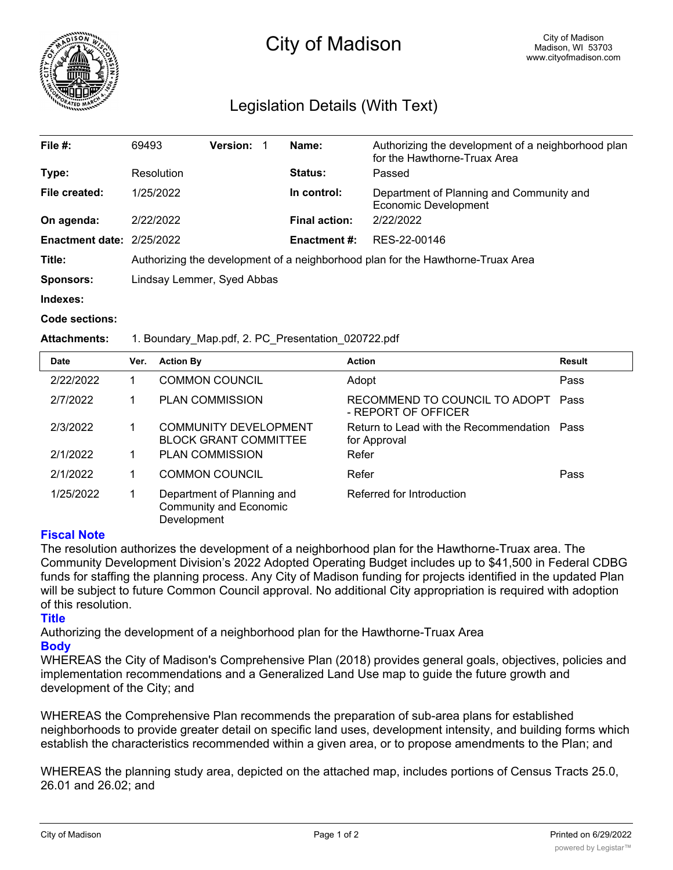

# City of Madison

## Legislation Details (With Text)

| File #:                          | 69493                                                                           | <b>Version:</b> | Name:                | Authorizing the development of a neighborhood plan<br>for the Hawthorne-Truax Area |  |  |
|----------------------------------|---------------------------------------------------------------------------------|-----------------|----------------------|------------------------------------------------------------------------------------|--|--|
| Type:                            | Resolution                                                                      |                 | Status:              | Passed                                                                             |  |  |
| File created:                    | 1/25/2022                                                                       |                 | In control:          | Department of Planning and Community and<br><b>Economic Development</b>            |  |  |
| On agenda:                       | 2/22/2022                                                                       |                 | <b>Final action:</b> | 2/22/2022                                                                          |  |  |
| <b>Enactment date: 2/25/2022</b> |                                                                                 |                 | <b>Enactment #:</b>  | RES-22-00146                                                                       |  |  |
| Title:                           | Authorizing the development of a neighborhood plan for the Hawthorne-Truax Area |                 |                      |                                                                                    |  |  |
| <b>Sponsors:</b>                 | Lindsay Lemmer, Syed Abbas                                                      |                 |                      |                                                                                    |  |  |
| Indexes:                         |                                                                                 |                 |                      |                                                                                    |  |  |

#### **Code sections:**

#### **Attachments:** 1. Boundary\_Map.pdf, 2. PC\_Presentation\_020722.pdf

| <b>Date</b> | Ver. | <b>Action By</b>                                                           | <b>Action</b>                                               | <b>Result</b> |
|-------------|------|----------------------------------------------------------------------------|-------------------------------------------------------------|---------------|
| 2/22/2022   |      | <b>COMMON COUNCIL</b>                                                      | Adopt                                                       | Pass          |
| 2/7/2022    |      | <b>PLAN COMMISSION</b>                                                     | RECOMMEND TO COUNCIL TO ADOPT<br>- REPORT OF OFFICER        | Pass          |
| 2/3/2022    |      | COMMUNITY DEVELOPMENT<br><b>BLOCK GRANT COMMITTEE</b>                      | Return to Lead with the Recommendation Pass<br>for Approval |               |
| 2/1/2022    |      | <b>PLAN COMMISSION</b>                                                     | Refer                                                       |               |
| 2/1/2022    |      | <b>COMMON COUNCIL</b>                                                      | Refer                                                       | Pass          |
| 1/25/2022   |      | Department of Planning and<br><b>Community and Economic</b><br>Development | Referred for Introduction                                   |               |

### **Fiscal Note**

The resolution authorizes the development of a neighborhood plan for the Hawthorne-Truax area. The Community Development Division's 2022 Adopted Operating Budget includes up to \$41,500 in Federal CDBG funds for staffing the planning process. Any City of Madison funding for projects identified in the updated Plan will be subject to future Common Council approval. No additional City appropriation is required with adoption of this resolution.

### **Title**

Authorizing the development of a neighborhood plan for the Hawthorne-Truax Area

**Body**

WHEREAS the City of Madison's Comprehensive Plan (2018) provides general goals, objectives, policies and implementation recommendations and a Generalized Land Use map to guide the future growth and development of the City; and

WHEREAS the Comprehensive Plan recommends the preparation of sub-area plans for established neighborhoods to provide greater detail on specific land uses, development intensity, and building forms which establish the characteristics recommended within a given area, or to propose amendments to the Plan; and

WHEREAS the planning study area, depicted on the attached map, includes portions of Census Tracts 25.0, 26.01 and 26.02; and